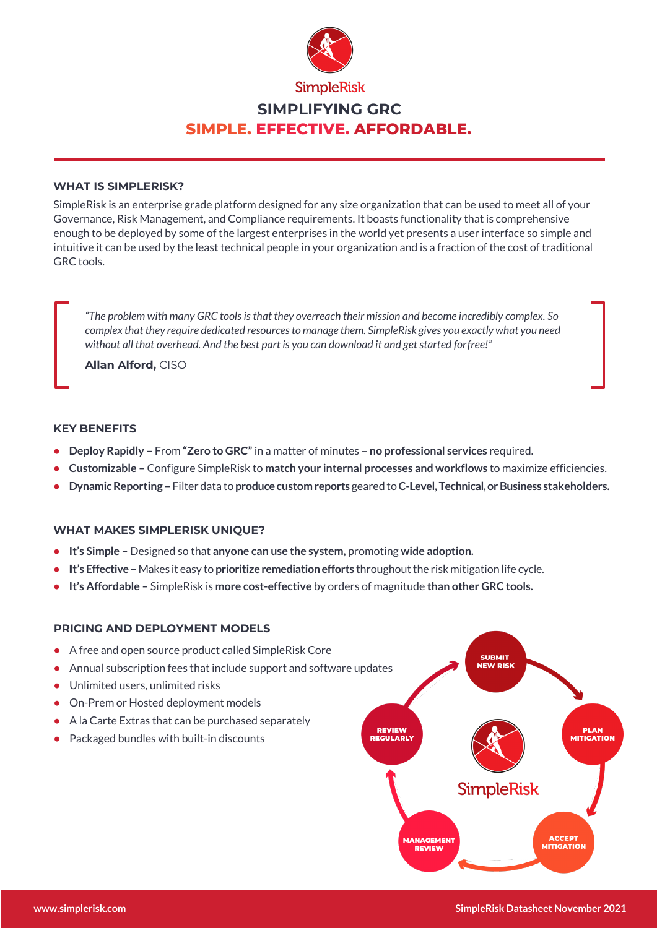

# **SIMPLIFYING GRC SIMPLE. EFFECTIVE. AFFORDABLE.**

## **WHAT IS SIMPLERISK?**

SimpleRisk is an enterprise grade platform designed for any size organization that can be used to meet all of your Governance, Risk Management, and Compliance requirements. It boasts functionality that is comprehensive enough to be deployed by some of the largest enterprises in the world yet presents a user interface so simple and intuitive it can be used by the least technical people in your organization and is a fraction of the cost of traditional GRC tools.

*"The problem with many GRC tools is that they overreach their mission and become incredibly complex. So complex thatthey require dedicated resourcesto manage them. SimpleRisk gives you exactly what you need without all that overhead. And the best part is you can download it and get started forfree!"*

**Allan Alford,** CISO

## **KEY BENEFITS**

- **• Deploy Rapidly –** From **"Zero to GRC"** in a matter of minutes **no professional services** required.
- **• Customizable –** Configure SimpleRisk to **match your internal processes and workflows** to maximize efficiencies.
- **• DynamicReporting –** Filter data to **producecustom reports** geared to**C-Level,Technical,orBusiness stakeholders.**

# **WHAT MAKES SIMPLERISK UNIQUE?**

- **•** It's Simple Designed so that anyone can use the system, promoting wide adoption.
- **It's Effective** Makes it easy to prioritize remediation efforts throughout the risk mitigation life cycle.
- **• It's Affordable –** SimpleRisk is **more cost-effective** by orders of magnitude **than other GRC tools.**

# **PRICING AND DEPLOYMENT MODELS**

- **•** A free and open source product called SimpleRisk Core
- **•** Annual subscription fees that include support and software updates
- **•** Unlimited users, unlimited risks
- **•** On-Prem or Hosted deployment models
- **•** A la Carte Extras that can be purchased separately
- **•** Packaged bundles with built-in discounts